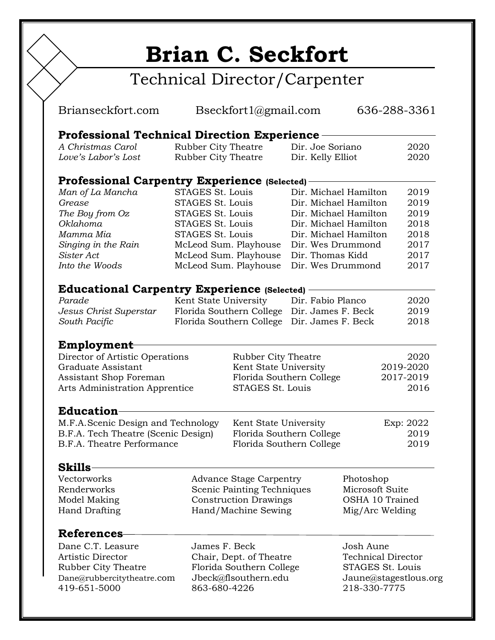## **Brian C. Seckfort**

## Technical Director/Carpenter

| Brianseckfort.com                                                 | Bseckfort1@gmail.com           |                                          | 636-288-3361          |                                       |              |  |
|-------------------------------------------------------------------|--------------------------------|------------------------------------------|-----------------------|---------------------------------------|--------------|--|
| <b>Professional Technical Direction Experience</b>                |                                |                                          |                       |                                       |              |  |
| A Christmas Carol                                                 | Rubber City Theatre            |                                          | Dir. Joe Soriano      |                                       | 2020         |  |
| Love's Labor's Lost                                               | Rubber City Theatre            |                                          | Dir. Kelly Elliot     |                                       | 2020         |  |
| <b>Professional Carpentry Experience (Selected)</b>               |                                |                                          |                       |                                       |              |  |
| Man of La Mancha                                                  | STAGES St. Louis               |                                          | Dir. Michael Hamilton |                                       | 2019         |  |
| Grease                                                            | STAGES St. Louis               |                                          |                       | Dir. Michael Hamilton                 | 2019         |  |
| The Boy from Oz                                                   | STAGES St. Louis               |                                          |                       | Dir. Michael Hamilton                 | 2019         |  |
| <b>Oklahoma</b>                                                   | STAGES St. Louis               |                                          |                       | Dir. Michael Hamilton                 |              |  |
| Mamma Mia                                                         | STAGES St. Louis               |                                          | Dir. Michael Hamilton |                                       | 2018<br>2018 |  |
| Singing in the Rain                                               |                                | McLeod Sum. Playhouse                    |                       | 2017<br>Dir. Wes Drummond             |              |  |
| Sister Act                                                        |                                | McLeod Sum. Playhouse                    |                       | Dir. Thomas Kidd<br>2017              |              |  |
| Into the Woods                                                    |                                | McLeod Sum. Playhouse                    | Dir. Wes Drummond     |                                       | 2017         |  |
|                                                                   |                                |                                          |                       |                                       |              |  |
| <b>Educational Carpentry Experience (Selected)</b><br>Parade      |                                |                                          | Dir. Fabio Planco     |                                       | 2020         |  |
|                                                                   | Kent State University          | Florida Southern College                 | Dir. James F. Beck    |                                       | 2019         |  |
| Jesus Christ Superstar                                            |                                |                                          | Dir. James F. Beck    |                                       |              |  |
| South Pacific                                                     |                                | Florida Southern College                 |                       |                                       | 2018         |  |
| <b>Employment</b>                                                 |                                |                                          |                       |                                       |              |  |
| Director of Artistic Operations                                   |                                | Rubber City Theatre                      |                       |                                       | 2020         |  |
| Graduate Assistant                                                |                                |                                          | Kent State University |                                       | 2019-2020    |  |
| Assistant Shop Foreman                                            |                                | Florida Southern College                 |                       | 2017-2019                             |              |  |
|                                                                   | Arts Administration Apprentice |                                          | STAGES St. Louis      |                                       | 2016         |  |
| <b>Education</b>                                                  |                                |                                          |                       |                                       |              |  |
| M.F.A. Scenic Design and Technology                               |                                | Kent State University                    |                       | Exp: 2022                             |              |  |
|                                                                   |                                | Florida Southern College                 |                       | 2019                                  |              |  |
| B.F.A. Tech Theatre (Scenic Design)<br>B.F.A. Theatre Performance |                                | Florida Southern College                 |                       |                                       | 2019         |  |
|                                                                   |                                |                                          |                       |                                       |              |  |
| <b>Skills</b>                                                     |                                |                                          |                       |                                       |              |  |
| Vectorworks                                                       | <b>Advance Stage Carpentry</b> |                                          | Photoshop             |                                       |              |  |
| Renderworks                                                       |                                | Scenic Painting Techniques               |                       | Microsoft Suite                       |              |  |
| Model Making                                                      |                                | <b>Construction Drawings</b>             |                       | OSHA 10 Trained                       |              |  |
| <b>Hand Drafting</b>                                              |                                | Hand/Machine Sewing                      |                       | Mig/Arc Welding                       |              |  |
| <b>References</b>                                                 |                                |                                          |                       |                                       |              |  |
| Dane C.T. Leasure                                                 |                                |                                          |                       | Josh Aune                             |              |  |
| Artistic Director                                                 |                                | James F. Beck<br>Chair, Dept. of Theatre |                       | <b>Technical Director</b>             |              |  |
| Rubber City Theatre                                               |                                | Florida Southern College                 |                       | STAGES St. Louis                      |              |  |
| Dane@rubbercitytheatre.com                                        |                                | Jbeck@flsouthern.edu                     |                       |                                       |              |  |
| 419-651-5000                                                      |                                | 863-680-4226                             |                       | Jaune@stagestlous.org<br>218-330-7775 |              |  |
|                                                                   |                                |                                          |                       |                                       |              |  |